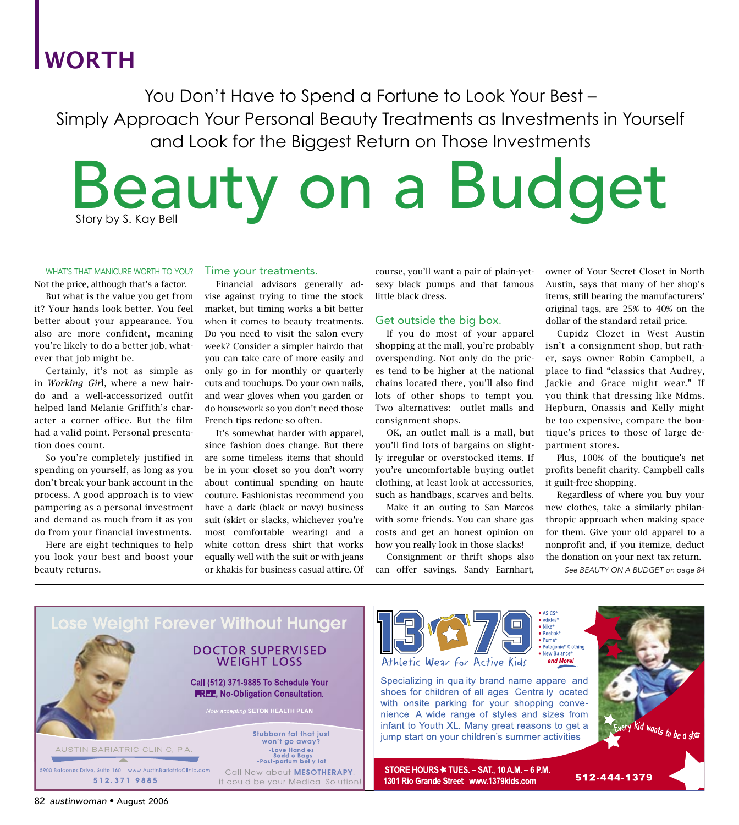# WORTH

You Don't Have to Spend a Fortune to Look Your Best – Simply Approach Your Personal Beauty Treatments as Investments in Yourself and Look for the Biggest Return on Those Investments

Beauty on a Budget Story by S. Kay Bell

#### WHAT'S THAT MANICURE WORTH TO YOU?

Not the price, although that's a factor.

 But what is the value you get from it? Your hands look better. You feel better about your appearance. You also are more confident, meaning you're likely to do a better job, whatever that job might be.

 Certainly, it's not as simple as in *Working Gir*l, where a new hairdo and a well-accessorized outfit helped land Melanie Griffith's character a corner office. But the film had a valid point. Personal presentation does count.

 So you're completely justified in spending on yourself, as long as you don't break your bank account in the process. A good approach is to view pampering as a personal investment and demand as much from it as you do from your financial investments.

 Here are eight techniques to help you look your best and boost your beauty returns.

#### Time your treatments.

 Financial advisors generally advise against trying to time the stock market, but timing works a bit better when it comes to beauty treatments. Do you need to visit the salon every week? Consider a simpler hairdo that you can take care of more easily and only go in for monthly or quarterly cuts and touchups. Do your own nails, and wear gloves when you garden or do housework so you don't need those French tips redone so often.

 It's somewhat harder with apparel, since fashion does change. But there are some timeless items that should be in your closet so you don't worry about continual spending on haute couture. Fashionistas recommend you have a dark (black or navy) business suit (skirt or slacks, whichever you're most comfortable wearing) and a white cotton dress shirt that works equally well with the suit or with jeans or khakis for business casual attire. Of course, you'll want a pair of plain-yetsexy black pumps and that famous little black dress.

### Get outside the big box.

 If you do most of your apparel shopping at the mall, you're probably overspending. Not only do the prices tend to be higher at the national chains located there, you'll also find lots of other shops to tempt you. Two alternatives: outlet malls and consignment shops.

 OK, an outlet mall is a mall, but you'll find lots of bargains on slightly irregular or overstocked items. If you're uncomfortable buying outlet clothing, at least look at accessories, such as handbags, scarves and belts.

 Make it an outing to San Marcos with some friends. You can share gas costs and get an honest opinion on how you really look in those slacks!

 Consignment or thrift shops also can offer savings. Sandy Earnhart,

owner of Your Secret Closet in North Austin, says that many of her shop's items, still bearing the manufacturers' original tags, are 25% to 40% on the dollar of the standard retail price.

 Cupidz Clozet in West Austin isn't a consignment shop, but rather, says owner Robin Campbell, a place to find "classics that Audrey, Jackie and Grace might wear." If you think that dressing like Mdms. Hepburn, Onassis and Kelly might be too expensive, compare the boutique's prices to those of large department stores.

 Plus, 100% of the boutique's net profits benefit charity. Campbell calls it guilt-free shopping.

 Regardless of where you buy your new clothes, take a similarly philanthropic approach when making space for them. Give your old apparel to a nonprofit and, if you itemize, deduct the donation on your next tax return.

See BEAUTY ON A BUDGET on page 84